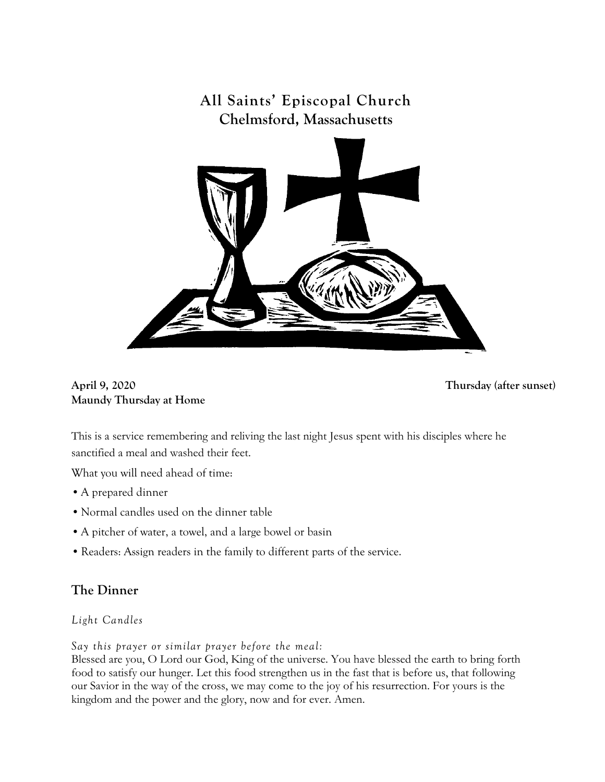

**April 9, 2020 Thursday (after sunset) Maundy Thursday at Home** 

This is a service remembering and reliving the last night Jesus spent with his disciples where he sanctified a meal and washed their feet.

What you will need ahead of time:

- •A prepared dinner
- Normal candles used on the dinner table
- •A pitcher of water, a towel, and a large bowel or basin
- •Readers: Assign readers in the family to different parts of the service.

## **The Dinner**

*Light Candles*

*Say this prayer or similar prayer before the meal:*

Blessed are you, O Lord our God, King of the universe. You have blessed the earth to bring forth food to satisfy our hunger. Let this food strengthen us in the fast that is before us, that following our Savior in the way of the cross, we may come to the joy of his resurrection. For yours is the kingdom and the power and the glory, now and for ever. Amen.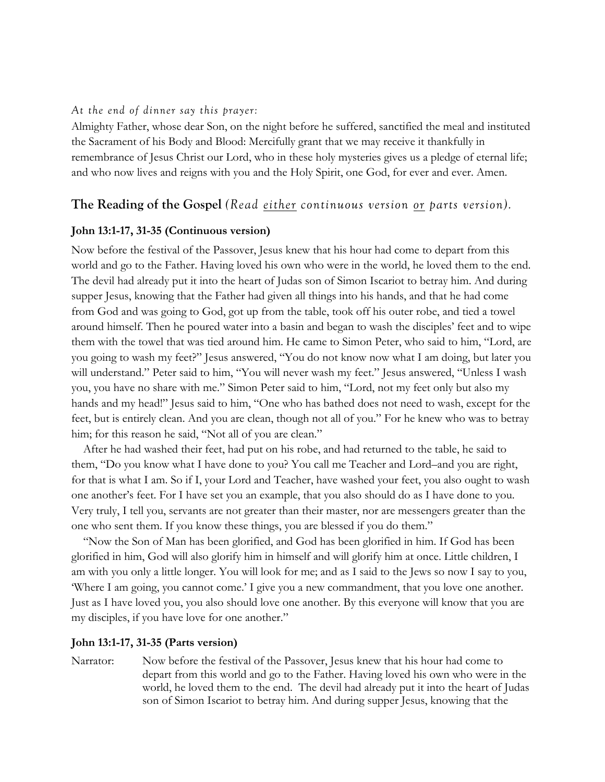### *At the end of dinner say this prayer:*

Almighty Father, whose dear Son, on the night before he suffered, sanctified the meal and instituted the Sacrament of his Body and Blood: Mercifully grant that we may receive it thankfully in remembrance of Jesus Christ our Lord, who in these holy mysteries gives us a pledge of eternal life; and who now lives and reigns with you and the Holy Spirit, one God, for ever and ever. Amen.

### **The Reading of the Gospel** *(Read either continuous version or parts version).*

### **John 13:1-17, 31-35 (Continuous version)**

Now before the festival of the Passover, Jesus knew that his hour had come to depart from this world and go to the Father. Having loved his own who were in the world, he loved them to the end. The devil had already put it into the heart of Judas son of Simon Iscariot to betray him. And during supper Jesus, knowing that the Father had given all things into his hands, and that he had come from God and was going to God, got up from the table, took off his outer robe, and tied a towel around himself. Then he poured water into a basin and began to wash the disciples' feet and to wipe them with the towel that was tied around him. He came to Simon Peter, who said to him, "Lord, are you going to wash my feet?" Jesus answered, "You do not know now what I am doing, but later you will understand." Peter said to him, "You will never wash my feet." Jesus answered, "Unless I wash you, you have no share with me." Simon Peter said to him, "Lord, not my feet only but also my hands and my head!" Jesus said to him, "One who has bathed does not need to wash, except for the feet, but is entirely clean. And you are clean, though not all of you." For he knew who was to betray him; for this reason he said, "Not all of you are clean."

After he had washed their feet, had put on his robe, and had returned to the table, he said to them, "Do you know what I have done to you? You call me Teacher and Lord–and you are right, for that is what I am. So if I, your Lord and Teacher, have washed your feet, you also ought to wash one another's feet. For I have set you an example, that you also should do as I have done to you. Very truly, I tell you, servants are not greater than their master, nor are messengers greater than the one who sent them. If you know these things, you are blessed if you do them."

"Now the Son of Man has been glorified, and God has been glorified in him. If God has been glorified in him, God will also glorify him in himself and will glorify him at once. Little children, I am with you only a little longer. You will look for me; and as I said to the Jews so now I say to you, 'Where I am going, you cannot come.' I give you a new commandment, that you love one another. Just as I have loved you, you also should love one another. By this everyone will know that you are my disciples, if you have love for one another."

### **John 13:1-17, 31-35 (Parts version)**

Narrator: Now before the festival of the Passover, Jesus knew that his hour had come to depart from this world and go to the Father. Having loved his own who were in the world, he loved them to the end. The devil had already put it into the heart of Judas son of Simon Iscariot to betray him. And during supper Jesus, knowing that the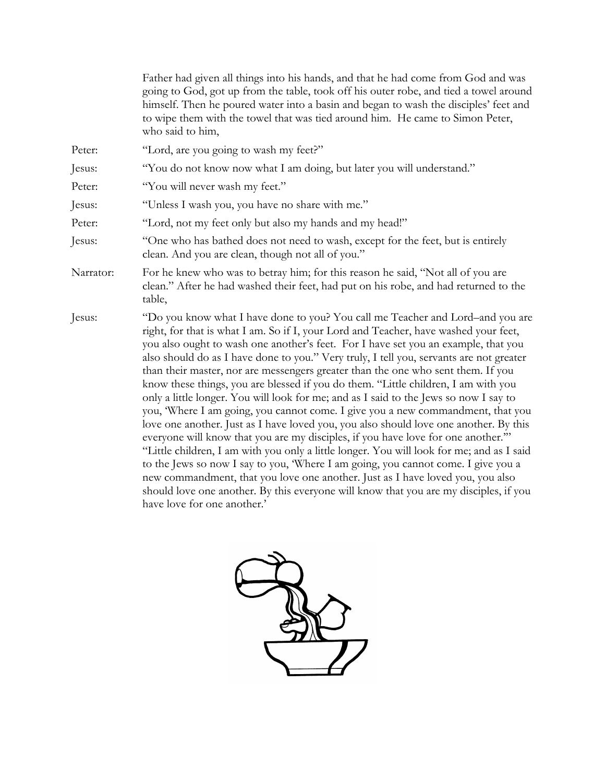|           | Father had given all things into his hands, and that he had come from God and was<br>going to God, got up from the table, took off his outer robe, and tied a towel around<br>himself. Then he poured water into a basin and began to wash the disciples' feet and<br>to wipe them with the towel that was tied around him. He came to Simon Peter,<br>who said to him,                                                                                                                                                                                                                                                                                                                                                                                                                                                                                                                                                                                                                                                                                                                                                                                                                                                                                                               |
|-----------|---------------------------------------------------------------------------------------------------------------------------------------------------------------------------------------------------------------------------------------------------------------------------------------------------------------------------------------------------------------------------------------------------------------------------------------------------------------------------------------------------------------------------------------------------------------------------------------------------------------------------------------------------------------------------------------------------------------------------------------------------------------------------------------------------------------------------------------------------------------------------------------------------------------------------------------------------------------------------------------------------------------------------------------------------------------------------------------------------------------------------------------------------------------------------------------------------------------------------------------------------------------------------------------|
| Peter:    | "Lord, are you going to wash my feet?"                                                                                                                                                                                                                                                                                                                                                                                                                                                                                                                                                                                                                                                                                                                                                                                                                                                                                                                                                                                                                                                                                                                                                                                                                                                |
| Jesus:    | "You do not know now what I am doing, but later you will understand."                                                                                                                                                                                                                                                                                                                                                                                                                                                                                                                                                                                                                                                                                                                                                                                                                                                                                                                                                                                                                                                                                                                                                                                                                 |
| Peter:    | "You will never wash my feet."                                                                                                                                                                                                                                                                                                                                                                                                                                                                                                                                                                                                                                                                                                                                                                                                                                                                                                                                                                                                                                                                                                                                                                                                                                                        |
| Jesus:    | "Unless I wash you, you have no share with me."                                                                                                                                                                                                                                                                                                                                                                                                                                                                                                                                                                                                                                                                                                                                                                                                                                                                                                                                                                                                                                                                                                                                                                                                                                       |
| Peter:    | "Lord, not my feet only but also my hands and my head!"                                                                                                                                                                                                                                                                                                                                                                                                                                                                                                                                                                                                                                                                                                                                                                                                                                                                                                                                                                                                                                                                                                                                                                                                                               |
| Jesus:    | "One who has bathed does not need to wash, except for the feet, but is entirely<br>clean. And you are clean, though not all of you."                                                                                                                                                                                                                                                                                                                                                                                                                                                                                                                                                                                                                                                                                                                                                                                                                                                                                                                                                                                                                                                                                                                                                  |
| Narrator: | For he knew who was to betray him; for this reason he said, "Not all of you are<br>clean." After he had washed their feet, had put on his robe, and had returned to the<br>table,                                                                                                                                                                                                                                                                                                                                                                                                                                                                                                                                                                                                                                                                                                                                                                                                                                                                                                                                                                                                                                                                                                     |
| Jesus:    | "Do you know what I have done to you? You call me Teacher and Lord-and you are<br>right, for that is what I am. So if I, your Lord and Teacher, have washed your feet,<br>you also ought to wash one another's feet. For I have set you an example, that you<br>also should do as I have done to you." Very truly, I tell you, servants are not greater<br>than their master, nor are messengers greater than the one who sent them. If you<br>know these things, you are blessed if you do them. "Little children, I am with you<br>only a little longer. You will look for me; and as I said to the Jews so now I say to<br>you, Where I am going, you cannot come. I give you a new commandment, that you<br>love one another. Just as I have loved you, you also should love one another. By this<br>everyone will know that you are my disciples, if you have love for one another."<br>"Little children, I am with you only a little longer. You will look for me; and as I said<br>to the Jews so now I say to you, 'Where I am going, you cannot come. I give you a<br>new commandment, that you love one another. Just as I have loved you, you also<br>should love one another. By this everyone will know that you are my disciples, if you<br>have love for one another.' |

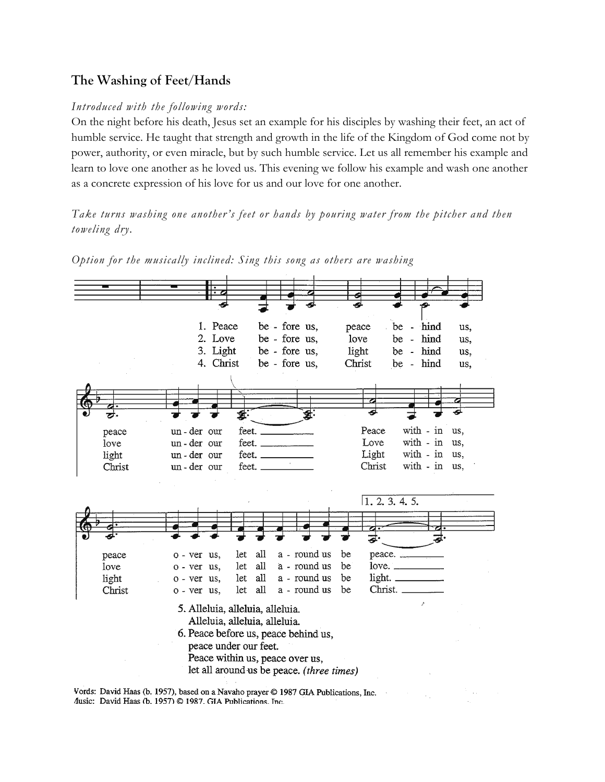### **The Washing of Feet/Hands**

### *Introduced with the following words:*

On the night before his death, Jesus set an example for his disciples by washing their feet, an act of humble service. He taught that strength and growth in the life of the Kingdom of God come not by power, authority, or even miracle, but by such humble service. Let us all remember his example and learn to love one another as he loved us. This evening we follow his example and wash one another as a concrete expression of his love for us and our love for one another.

*Take turns washing one another's feet or hands by pouring water from the pitcher and then toweling dry.*



*Option for the musically inclined: Sing this song as others are washing*

Vords: David Haas (b. 1957), based on a Navaho prayer © 1987 GIA Publications, Inc. Ausic: David Haas (b. 1957) @ 1987. GIA Publications. Inc.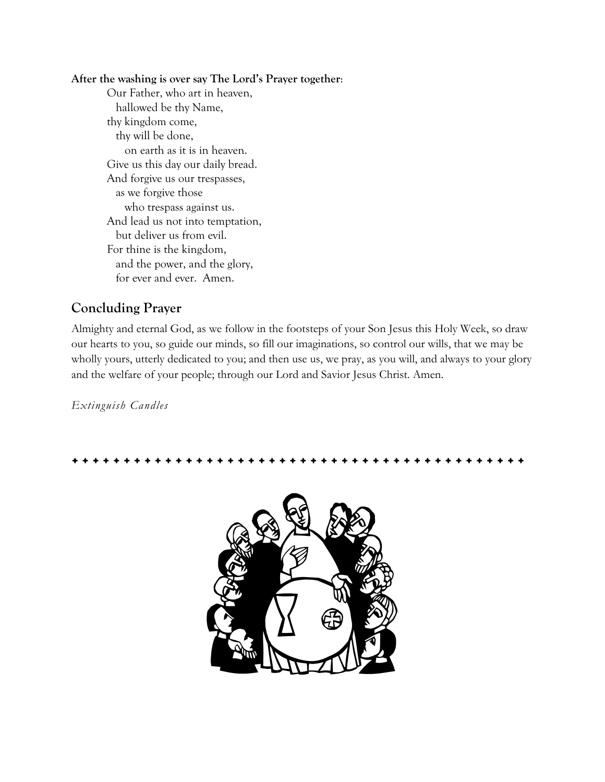### **After the washing is over say The Lord's Prayer together**:

Our Father, who art in heaven, hallowed be thy Name, thy kingdom come, thy will be done, on earth as it is in heaven. Give us this day our daily bread. And forgive us our trespasses, as we forgive those who trespass against us. And lead us not into temptation, but deliver us from evil. For thine is the kingdom, and the power, and the glory, for ever and ever. Amen.

## **Concluding Prayer**

Almighty and eternal God, as we follow in the footsteps of your Son Jesus this Holy Week, so draw our hearts to you, so guide our minds, so fill our imaginations, so control our wills, that we may be wholly yours, utterly dedicated to you; and then use us, we pray, as you will, and always to your glory and the welfare of your people; through our Lord and Savior Jesus Christ. Amen.

*Extinguish Candles*